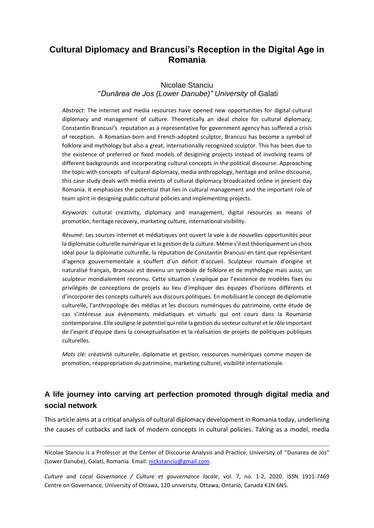# **Cultural Diplomacy and Brancusi's Reception in the Digital Age in Romania**

## Nicolae Stanciu "*Dunărea de Jos (Lower Danube)" University* of Galati

*Abstract*: The internet and media resources have opened new opportunities for digital cultural diplomacy and management of culture. Theoretically an ideal choice for cultural diplomacy, Constantin Brancusi's reputation as a representative for government agency has suffered a crisis of reception. A Romanian-born and French-adopted sculptor, Brancusi has become a symbol of folklore and mythology but also a great, internationally recognized sculptor. This has been due to the existence of preferred or fixed models of desigining projects instead of involving teams of different backgrounds and incorporating cultural concepts in the political discourse. Approaching the topic with concepts of cultural diplomacy, media anthropology, heritage and online discourse, this case study deals with media events of cultural diplomacy broadcasted online in present day Romania. It emphasizes the potential that lies in cultural management and the important role of team spirit in designing public cultural policies and implementing projects.

*Keywords:* cultural creativity, diplomacy and management, digital resources as means of promotion, heritage recovery, marketing culture, international visibility.

*Résumé*: Les sources internet et médiatiques ont ouvert la voie à de nouvelles opportunités pour la diplomatie culturelle numérique et la gestion de la culture. Même s'il est théoriquement un choix idéal pour la diplomatie culturelle, la réputation de Constantin Brancusi en tant que représentant d'agence gouvernementale a souffert d'un déficit d'accueil. Sculpteur roumain d'origine et naturalisé français, Brancusi est devenu un symbole de folklore et de mythologie mais aussi, un sculpteur mondialement reconnu. Cette situation s'explique par l'existence de modèles fixes ou privilégiés de conceptions de projets au lieu d'impliquer des équipes d'horizons différents et d'incorporer des concepts culturels aux discours politiques. En mobilisant le concept de diplomatie culturelle, l'anthropologie des médias et les discours numériques du patrimoine, cette étude de cas s'intéresse aux évènements médiatiques et virtuels qui ont cours dans la Roumanie contemporaine. Elle souligne le potentiel qui relie la gestion du secteur culturel et le rôle important de l'esprit d'équipe dans la conceptualisation et la réalisation de projets de politiques publiques culturelles.

*Mots clé:* créativité culturelle, diplomatie et gestion, ressources numériques comme moyen de promotion, réappropriation du patrimoine, marketing culturel, visibilité internationale.

## **A life journey into carving art perfection promoted through digital media and social network**

This article aims at a critical analysis of cultural diplomacy development in Romania today, underlining the causes of cutbacks and lack of modern concepts in cultural policies. Taking as a model, media

Nicolae Stanciu is a Professor at the Center of Discourse Analysis and Practice, University of ''Dunarea de Jos'' (Lower Danube), Galati, Romania. Email: [nickstanciu@gmail.com.](mailto:nickstanciu@gmail.com)

*Culture and Local Governance / Culture et gouvernance locale*, vol. 7, no. 1-2, 2020. ISSN 1911-7469 Centre on Governance, University of Ottawa, 120 university, Ottawa, Ontario, Canada K1N 6N5.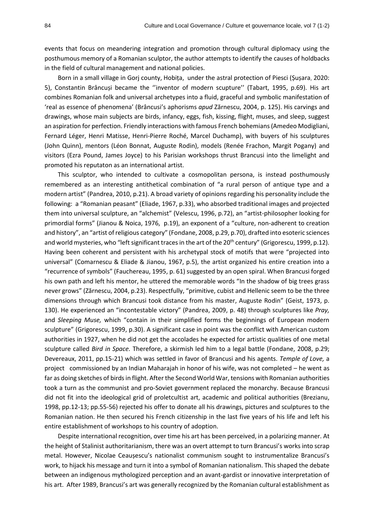events that focus on meandering integration and promotion through cultural diplomacy using the posthumous memory of a Romanian sculptor, the author attempts to identify the causes of holdbacks in the field of cultural management and national policies.

Born in a small village in Gorj county, Hobița, under the astral protection of Piesci (Șușara, 2020: 5), Constantin Brâncusi became the "inventor of modern scupture" (Tabart, 1995, p.69). His art combines Romanian folk and universal archetypes into a fluid, graceful and symbolic manifestation of 'real as essence of phenomena' (Brâncusi's aphorisms *apud* Zărnescu, 2004, p. 125). His carvings and drawings, whose main subjects are birds, infancy, eggs, fish, kissing, flight, muses, and sleep, suggest an aspiration for perfection. Friendly interactions with famous French bohemians(Amedeo Modigliani, Fernard Léger, Henri Matisse, Henri-Pierre Roché, Marcel Duchamp), with buyers of his sculptures (John Quinn), mentors (Léon Bonnat, Auguste Rodin), models (Renée Frachon, Margit Pogany) and visitors (Ezra Pound, James Joyce) to his Parisian workshops thrust Brancusi into the limelight and promoted his reputaton as an international artist.

This sculptor, who intended to cultivate a cosmopolitan persona, is instead posthumously remembered as an interesting antithetical combination of "a rural person of antique type and a modern artist" (Pandrea, 2010, p.21). A broad variety of opinions regarding his personality include the following: a "Romanian peasant" (Eliade, 1967, p.33), who absorbed traditional images and projected them into universal sculpture, an "alchemist" (Velescu, 1996, p.72), an "artist-philosopher looking for primordial forms" (Jianou & Noica, 1976, p.19), an exponent of a "culture, non-adherent to creation and history", an "artist of religious category" (Fondane, 2008, p.29, p.70), drafted into esoteric sciences and world mysteries, who "left significant traces in the art of the  $20<sup>th</sup>$  century" (Grigorescu, 1999, p.12). Having been coherent and persistent with his archetypal stock of motifs that were "projected into universal" (Comarnescu & Eliade & Jianou, 1967, p.5), the artist organized his entire creation into a "recurrence of symbols" (Fauchereau, 1995, p. 61) suggested by an open spiral. When Brancusi forged his own path and left his mentor, he uttered the memorable words "In the shadow of big trees grass never grows" (Zărnescu, 2004, p.23). Respectfully, "primitive, cubist and Hellenic seem to be the three dimensions through which Brancusi took distance from his master, Auguste Rodin" (Geist, 1973, p. 130). He experienced an "incontestable victory" (Pandrea, 2009, p. 48) through sculptures like *Pray,* and *Sleeping Muse,* which "contain in their simplified forms the beginnings of European modern sculpture" (Grigorescu, 1999, p.30). A significant case in point was the conflict with American custom authorities in 1927, when he did not get the accolades he expected for artistic qualities of one metal sculpture called *Bird in Space.* Therefore, a skirmish led him to a legal battle (Fondane, 2008, p.29; Devereaux, 2011, pp.15-21) which was settled in favor of Brancusi and his agents. *Temple of Love,* a project commissioned by an Indian Maharajah in honor of his wife, was not completed – he went as far as doing sketches of birds in flight. After the Second World War, tensions with Romanian authorities took a turn as the communist and pro-Soviet government replaced the monarchy. Because Brancusi did not fit into the ideological grid of proletcultist art, academic and political authorities (Brezianu, 1998, pp.12-13; pp.55-56) rejected his offer to donate all his drawings, pictures and sculptures to the Romanian nation. He then secured his French citizenship in the last five years of his life and left his entire establishment of workshops to his country of adoption.

Despite international recognition, over time his art has been perceived, in a polarizing manner. At the height of Stalinist authoritarianism, there was an overt attempt to turn Brancusi's works into scrap metal. However, Nicolae Ceaușescu's nationalist communism sought to instrumentalize Brancusi's work, to hijack his message and turn it into a symbol of Romanian nationalism. This shaped the debate between an indigenous mythologized perception and an avant-gardist or innovative interpretation of his art. After 1989, Brancusi's art was generally recognized by the Romanian cultural establishment as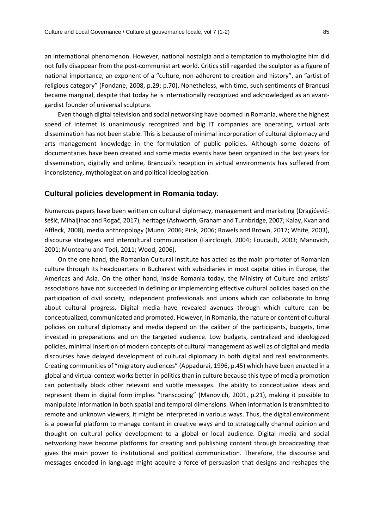an international phenomenon. However, national nostalgia and a temptation to mythologize him did not fully disappear from the post-communist art world. Critics still regarded the sculptor as a figure of national importance, an exponent of a "culture, non-adherent to creation and history", an "artist of religious category" (Fondane, 2008, p.29; p.70). Nonetheless, with time, such sentiments of Brancusi became marginal, despite that today he is internationally recognized and acknowledged as an avantgardist founder of universal sculpture.

Even though digital television and social networking have boomed in Romania, where the highest speed of internet is unanimously recognized and big IT companies are operating, virtual arts dissemination has not been stable. This is because of minimal incorporation of cultural diplomacy and arts management knowledge in the formulation of public policies. Although some dozens of documentaries have been created and some media events have been organized in the last years for dissemination, digitally and online, Brancusi's reception in virtual environments has suffered from inconsistency, mythologization and political ideologization.

#### **Cultural policies development in Romania today.**

Numerous papers have been written on cultural diplomacy, management and marketing (Dragićevićšešić, Mihaljinac and Rogač, 2017), heritage (Ashworth, Graham and Turnbridge, 2007; Kalay, Kvan and Affleck, 2008), media anthropology (Munn, 2006; Pink, 2006; Rowels and Brown, 2017; White, 2003), discourse strategies and intercultural communication (Fairclough, 2004; Foucault, 2003; Manovich, 2001; Munteanu and Todi, 2011; Wood, 2006).

On the one hand, the Romanian Cultural Institute has acted as the main promoter of Romanian culture through its headquarters in Bucharest with subsidiaries in most capital cities in Europe, the Americas and Asia. On the other hand, inside Romania today, the Ministry of Culture and artists' associations have not succeeded in defining or implementing effective cultural policies based on the participation of civil society, independent professionals and unions which can collaborate to bring about cultural progress. Digital media have revealed avenues through which culture can be conceptualized, communicated and promoted. However, in Romania, the nature or content of cultural policies on cultural diplomacy and media depend on the caliber of the participants, budgets, time invested in preparations and on the targeted audience. Low budgets, centralized and ideologized policies, minimal insertion of modern concepts of cultural management as well as of digital and media discourses have delayed development of cultural diplomacy in both digital and real environments. Creating communities of "migratory audiences" (Appadurai, 1996, p.45) which have been enacted in a global and virtual context works better in politics than in culture because this type of media promotion can potentially block other relevant and subtle messages. The ability to conceptualize ideas and represent them in digital form implies "transcoding" (Manovich, 2001, p.21), making it possible to manipulate information in both spatial and temporal dimensions. When information is transmitted to remote and unknown viewers, it might be interpreted in various ways. Thus, the digital environment is a powerful platform to manage content in creative ways and to strategically channel opinion and thought on cultural policy development to a global or local audience. Digital media and social networking have become platforms for creating and publishing content through broadcasting that gives the main power to institutional and political communication. Therefore, the discourse and messages encoded in language might acquire a force of persuasion that designs and reshapes the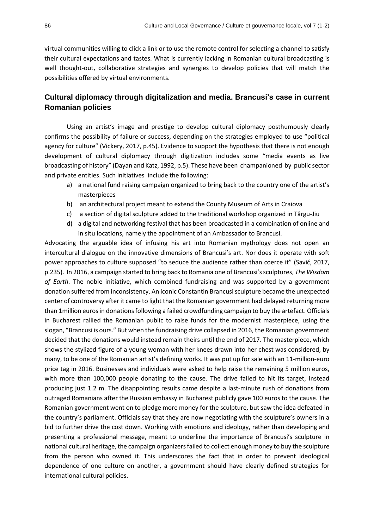virtual communities willing to click a link or to use the remote control for selecting a channel to satisfy their cultural expectations and tastes. What is currently lacking in Romanian cultural broadcasting is well thought-out, collaborative strategies and synergies to develop policies that will match the possibilities offered by virtual environments.

## **Cultural diplomacy through digitalization and media. Brancusi's case in current Romanian policies**

Using an artist's image and prestige to develop cultural diplomacy posthumously clearly confirms the possibility of failure or success, depending on the strategies employed to use "political agency for culture" (Vickery, 2017, p.45). Evidence to support the hypothesis that there is not enough development of cultural diplomacy through digitization includes some "media events as live broadcasting of history" (Dayan and Katz, 1992, p.5). These have been champanioned by public sector and private entities. Such initiatives include the following:

- a) a national fund raising campaign organized to bring back to the country one of the artist's masterpieces
- b) an architectural project meant to extend the County Museum of Arts in Craiova
- c) a section of digital sculpture added to the traditional workshop organized in Târgu-Jiu
- d) a digital and networking festival that has been broadcasted in a combination of online and in situ locations, namely the appointment of an Ambassador to Brancusi.

Advocating the arguable idea of infusing his art into Romanian mythology does not open an intercultural dialogue on the innovative dimensions of Brancusi's art. Nor does it operate with soft power approaches to culture supposed "to seduce the audience rather than coerce it" (Savić, 2017, p.235). In 2016, a campaign started to bring back to Romania one of Brancusi's sculptures, *The Wisdom of Earth*. The noble initiative, which combined fundraising and was supported by a government donation suffered from inconsistency. An iconic Constantin Brancusi sculpture became the unexpected center of controversy after it came to light that the Romanian government had delayed returning more than 1million eurosin donations following a failed crowdfunding campaign to buy the artefact. Officials in Bucharest rallied the Romanian public to raise funds for the modernist masterpiece, using the slogan, "Brancusi is ours." But when the fundraising drive collapsed in 2016, the Romanian government decided that the donations would instead remain theirs until the end of 2017. The masterpiece, which shows the stylized figure of a young woman with her knees drawn into her chest was considered, by many, to be one of the Romanian artist's defining works. It was put up for sale with an 11-million-euro price tag in 2016. Businesses and individuals were asked to help raise the remaining 5 million euros, with more than 100,000 people donating to the cause. The drive failed to hit its target, instead producing just 1.2 m. The disappointing results came despite a last-minute rush of donations from outraged Romanians after the Russian embassy in Bucharest publicly gave 100 euros to the cause. The Romanian government went on to pledge more money for the sculpture, but saw the idea defeated in the country's parliament. Officials say that they are now negotiating with the sculpture's owners in a bid to further drive the cost down. Working with emotions and ideology, rather than developing and presenting a professional message, meant to underline the importance of Brancusi's sculpture in national cultural heritage, the campaign organizers failed to collect enough money to buy the sculpture from the person who owned it. This underscores the fact that in order to prevent ideological dependence of one culture on another, a government should have clearly defined strategies for international cultural policies.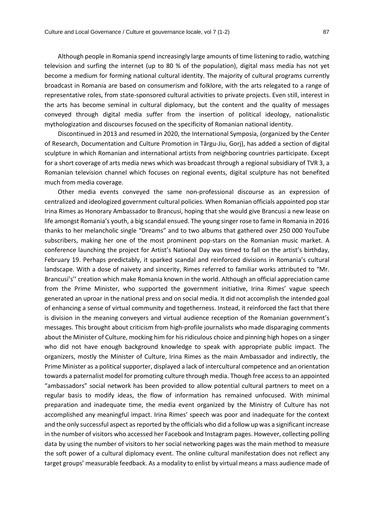Although people in Romania spend increasingly large amounts of time listening to radio, watching television and surfing the internet (up to 80 % of the population), digital mass media has not yet become a medium for forming national cultural identity. The majority of cultural programs currently broadcast in Romania are based on consumerism and folklore, with the arts relegated to a range of representative roles, from state-sponsored cultural activities to private projects. Even still, interest in the arts has become seminal in cultural diplomacy, but the content and the quality of messages conveyed through digital media suffer from the insertion of political ideology, nationalistic mythologization and discourses focused on the specificity of Romanian national identity.

Discontinued in 2013 and resumed in 2020, the International Symposia, (organized by the Center of Research, Documentation and Culture Promotion in Târgu-Jiu, Gorj), has added a section of digital sculpture in which Romanian and international artists from neighboring countries participate. Except for a short coverage of arts media news which was broadcast through a regional subsidiary of TVR 3, a Romanian television channel which focuses on regional events, digital sculpture has not benefited much from media coverage.

Other media events conveyed the same non-professional discourse as an expression of centralized and ideologized government cultural policies. When Romanian officials appointed pop star Irina Rimes as Honorary Ambassador to Brancusi, hoping that she would give Brancusi a new lease on life amongst Romania's youth, a big scandal ensued. The young singer rose to fame in Romania in 2016 thanks to her melancholic single "Dreams" and to two albums that gathered over 250 000 YouTube subscribers, making her one of the most prominent pop-stars on the Romanian music market. A conference launching the project for Artist's National Day was timed to fall on the artist's birthday, February 19. Perhaps predictably, it sparked scandal and reinforced divisions in Romania's cultural landscape. With a dose of naivety and sincerity, Rimes referred to familiar works attributed to "Mr. Brancusi's'' creation which make Romania known in the world. Although an official appreciation came from the Prime Minister, who supported the government initiative, Irina Rimes' vague speech generated an uproar in the national press and on social media. It did not accomplish the intended goal of enhancing a sense of virtual community and togetherness. Instead, it reinforced the fact that there is division in the meaning conveyers and virtual audience reception of the Romanian government's messages. This brought about criticism from high-profile journalists who made disparaging comments about the Minister of Culture, mocking him for his ridiculous choice and pinning high hopes on a singer who did not have enough background knowledge to speak with appropriate public impact. The organizers, mostly the Minister of Culture, Irina Rimes as the main Ambassador and indirectly, the Prime Minister as a political supporter, displayed a lack of intercultural competence and an orientation towards a paternalist model for promoting culture through media. Though free access to an appointed "ambassadors" social network has been provided to allow potential cultural partners to meet on a regular basis to modify ideas, the flow of information has remained unfocused. With minimal preparation and inadequate time, the media event organized by the Ministry of Culture has not accomplished any meaningful impact. Irina Rimes' speech was poor and inadequate for the context and the only successful aspect as reported by the officials who did a follow up was a significant increase in the number of visitors who accessed her Facebook and Instagram pages. However, collecting polling data by using the number of visitors to her social networking pages was the main method to measure the soft power of a cultural diplomacy event. The online cultural manifestation does not reflect any target groups' measurable feedback. As a modality to enlist by virtual means a mass audience made of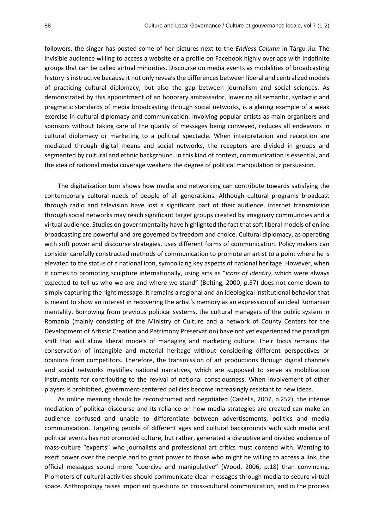followers, the singer has posted some of her pictures next to the *Endless Column* in Târgu-Jiu. The invisible audience willing to access a website or a profile on Facebook highly overlaps with indefinite groups that can be called virtual minorities. Discourse on media events as modalities of broadcasting history is instructive because it not only reveals the differences between liberal and centralized models of practicing cultural diplomacy, but also the gap between journalism and social sciences. As demonstrated by this appointment of an honorary ambassador, lowering all semantic, syntactic and pragmatic standards of media broadcasting through social networks, is a glaring example of a weak exercise in cultural diplomacy and communication. Involving popular artists as main organizers and sponsors without taking care of the quality of messages being conveyed, reduces all endeavors in cultural diplomacy or marketing to a political spectacle. When interpretation and reception are mediated through digital means and social networks, the receptors are divided in groups and segmented by cultural and ethnic background. In this kind of context, communication is essential, and the idea of national media coverage weakens the degree of political manipulation or persuasion.

The digitalization turn shows how media and networking can contribute towards satisfying the contemporary cultural needs of people of all generations. Although cultural programs broadcast through radio and television have lost a significant part of their audience, internet transmission through social networks may reach significant target groups created by imaginary communities and a virtual audience. Studies on governmentality have highlighted the fact that soft liberal models of online broadcasting are powerful and are governed by freedom and choice. Cultural diplomacy, as operating with soft power and discourse strategies, uses different forms of communication. Policy makers can consider carefully constructed methods of communication to promote an artist to a point where he is elevated to the status of a national icon, symbolizing key aspects of national heritage. However, when it comes to promoting sculpture internationally, using arts as "*icons of identity*, which were always expected to tell us who we are and where we stand" (Belting, 2000, p.57) does not come down to simply capturing the right message. It remains a regional and an ideological institutional behavior that is meant to show an interest in recovering the artist's memory as an expression of an ideal Romanian mentality. Borrowing from previous political systems, the cultural managers of the public system in Romania (mainly consisting of the Ministry of Culture and a network of County Centers for the Development of Artistic Creation and Patrimony Preservation) have not yet experienced the paradigm shift that will allow liberal models of managing and marketing culture. Their focus remains the conservation of intangible and material heritage without considering different perspectives or opinions from competitors. Therefore, the transmission of art productions through digital channels and social networks mystifies national narratives, which are supposed to serve as mobilization instruments for contributing to the revival of national consciousness. When involvement of other players is prohibited, government-centered policies become increasingly resistant to new ideas.

As online meaning should be reconstructed and negotiated (Castells, 2007, p.252), the intense mediation of political discourse and its reliance on how media strategies are created can make an audience confused and unable to differentiate between advertisements, politics and media communication. Targeting people of different ages and cultural backgrounds with such media and political events has not promoted culture, but rather, generated a disruptive and divided audience of mass-culture "experts" who journalists and professional art critics must contend with. Wanting to exert power over the people and to grant power to those who might be willing to access a link, the official messages sound more "coercive and manipulative" (Wood, 2006, p.18) than convincing. Promoters of cultural activities should communicate clear messages through media to secure virtual space. Anthropology raises important questions on cross-cultural communication, and in the process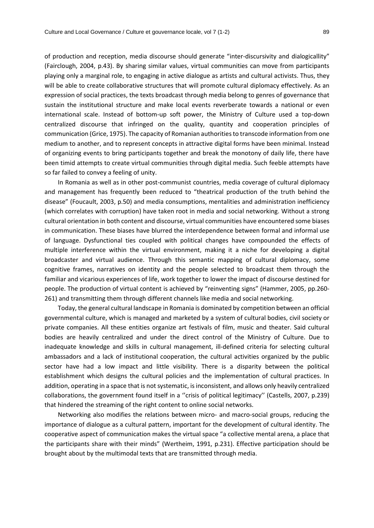of production and reception, media discourse should generate "inter-discursivity and dialogicallity" (Fairclough, 2004, p.43). By sharing similar values, virtual communities can move from participants playing only a marginal role, to engaging in active dialogue as artists and cultural activists. Thus, they will be able to create collaborative structures that will promote cultural diplomacy effectively. As an expression of social practices, the texts broadcast through media belong to genres of governance that sustain the institutional structure and make local events reverberate towards a national or even international scale. Instead of bottom-up soft power, the Ministry of Culture used a top-down centralized discourse that infringed on the quality, quantity and cooperation principles of communication (Grice, 1975). The capacity of Romanian authorities to transcode information from one medium to another, and to represent concepts in attractive digital forms have been minimal. Instead of organizing events to bring participants together and break the monotony of daily life, there have been timid attempts to create virtual communities through digital media. Such feeble attempts have so far failed to convey a feeling of unity.

In Romania as well as in other post-communist countries, media coverage of cultural diplomacy and management has frequently been reduced to "theatrical production of the truth behind the disease" (Foucault, 2003, p.50) and media consumptions, mentalities and administration inefficiency (which correlates with corruption) have taken root in media and social networking. Without a strong cultural orientation in both content and discourse, virtual communities have encountered some biases in communication. These biases have blurred the interdependence between formal and informal use of language. Dysfunctional ties coupled with political changes have compounded the effects of multiple interference within the virtual environment, making it a niche for developing a digital broadcaster and virtual audience. Through this semantic mapping of cultural diplomacy, some cognitive frames, narratives on identity and the people selected to broadcast them through the familiar and vicarious experiences of life, work together to lower the impact of discourse destined for people. The production of virtual content is achieved by "reinventing signs" (Hammer, 2005, pp.260- 261) and transmitting them through different channels like media and social networking.

Today, the general cultural landscape in Romania is dominated by competition between an official governmental culture, which is managed and marketed by a system of cultural bodies, civil society or private companies. All these entities organize art festivals of film, music and theater. Said cultural bodies are heavily centralized and under the direct control of the Ministry of Culture. Due to inadequate knowledge and skills in cultural management, ill-defined criteria for selecting cultural ambassadors and a lack of institutional cooperation, the cultural activities organized by the public sector have had a low impact and little visibility. There is a disparity between the political establishment which designs the cultural policies and the implementation of cultural practices. In addition, operating in a space that is not systematic, is inconsistent, and allows only heavily centralized collaborations, the government found itself in a ''crisis of political legitimacy'' (Castells, 2007, p.239) that hindered the streaming of the right content to online social networks.

Networking also modifies the relations between micro- and macro-social groups, reducing the importance of dialogue as a cultural pattern, important for the development of cultural identity. The cooperative aspect of communication makes the virtual space "a collective mental arena, a place that the participants share with their minds" (Wertheim, 1991, p.231). Effective participation should be brought about by the multimodal texts that are transmitted through media.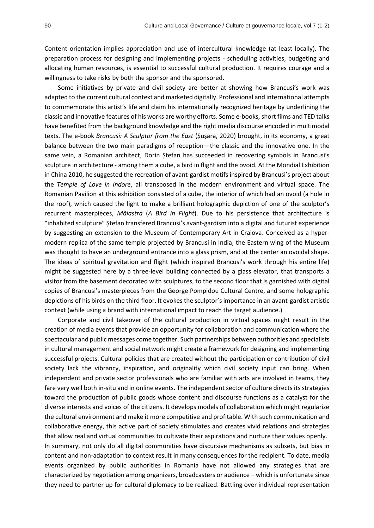Content orientation implies appreciation and use of intercultural knowledge (at least locally). The preparation process for designing and implementing projects - scheduling activities, budgeting and allocating human resources, is essential to successful cultural production. It requires courage and a willingness to take risks by both the sponsor and the sponsored.

Some initiatives by private and civil society are better at showing how Brancusi's work was adapted to the current cultural context and marketed digitally. Professional and international attempts to commemorate this artist's life and claim his internationally recognized heritage by underlining the classic and innovative features of his works are worthy efforts. Some e-books, short films and TED talks have benefited from the background knowledge and the right media discourse encoded in multimodal texts. The e-book *Brancusi: A Sculptor from the East* (Șușara, 2020) brought, in its economy, a great balance between the two main paradigms of reception—the classic and the innovative one. In the same vein, a Romanian architect, Dorin Ștefan has succeeded in recovering symbols in Brancusi's sculpture in architecture - among them a cube, a bird in flight and the ovoid. At the Mondial Exhibition in China 2010, he suggested the recreation of avant-gardist motifs inspired by Brancusi's project about the *Temple of Love in Indore*, all transposed in the modern environment and virtual space. The Romanian Pavilion at this exhibition consisted of a cube, the interior of which had an ovoid (a hole in the roof), which caused the light to make a brilliant holographic depiction of one of the sculptor's recurrent masterpieces, *Măiastra* (*A Bird in Flight*). Due to his persistence that architecture is "inhabited sculpture" Ștefan transfered Brancusi's avant-gardism into a digital and futurist experience by suggesting an extension to the Museum of Contemporary Art in Craiova. Conceived as a hypermodern replica of the same temple projected by Brancusi in India, the Eastern wing of the Museum was thought to have an underground entrance into a glass prism, and at the center an ovoidal shape. The ideas of spiritual gravitation and flight (which inspired Brancusi's work through his entire life) might be suggested here by a three-level building connected by a glass elevator, that transports a visitor from the basement decorated with sculptures, to the second floor that is garnished with digital copies of Brancusi's masterpieces from the George Pompidou Cultural Centre, and some holographic depictions of his birds on the third floor. It evokes the sculptor's importance in an avant-gardist artistic context (while using a brand with international impact to reach the target audience.)

Corporate and civil takeover of the cultural production in virtual spaces might result in the creation of media events that provide an opportunity for collaboration and communication where the spectacular and public messages come together. Such partnerships between authorities and specialists in cultural management and social network might create a framework for designing and implementing successful projects. Cultural policies that are created without the participation or contribution of civil society lack the vibrancy, inspiration, and originality which civil society input can bring. When independent and private sector professionals who are familiar with arts are involved in teams, they fare very well both in-situ and in online events. The independent sector of culture directs its strategies toward the production of public goods whose content and discourse functions as a catalyst for the diverse interests and voices of the citizens. It develops models of collaboration which might regularize the cultural environment and make it more competitive and profitable. With such communication and collaborative energy, this active part of society stimulates and creates vivid relations and strategies that allow real and virtual communities to cultivate their aspirations and nurture their values openly. In summary, not only do all digital communities have discursive mechanisms as subsets, but bias in content and non-adaptation to context result in many consequences for the recipient. To date, media events organized by public authorities in Romania have not allowed any strategies that are characterized by negotiation among organizers, broadcasters or audience – which is unfortunate since they need to partner up for cultural diplomacy to be realized. Battling over individual representation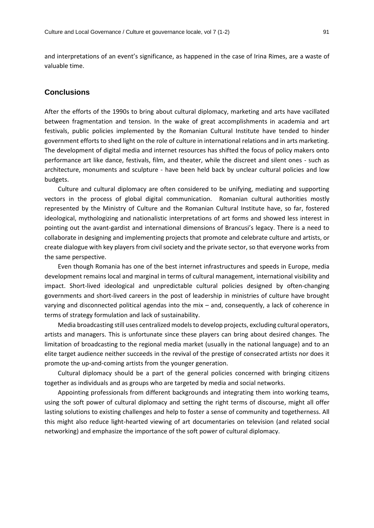and interpretations of an event's significance, as happened in the case of Irina Rimes, are a waste of valuable time.

### **Conclusions**

After the efforts of the 1990s to bring about cultural diplomacy, marketing and arts have vacillated between fragmentation and tension. In the wake of great accomplishments in academia and art festivals, public policies implemented by the Romanian Cultural Institute have tended to hinder government efforts to shed light on the role of culture in international relations and in arts marketing. The development of digital media and internet resources has shifted the focus of policy makers onto performance art like dance, festivals, film, and theater, while the discreet and silent ones - such as architecture, monuments and sculpture - have been held back by unclear cultural policies and low budgets.

Culture and cultural diplomacy are often considered to be unifying, mediating and supporting vectors in the process of global digital communication. Romanian cultural authorities mostly represented by the Ministry of Culture and the Romanian Cultural Institute have, so far, fostered ideological, mythologizing and nationalistic interpretations of art forms and showed less interest in pointing out the avant-gardist and international dimensions of Brancusi's legacy. There is a need to collaborate in designing and implementing projects that promote and celebrate culture and artists, or create dialogue with key players from civil society and the private sector, so that everyone works from the same perspective.

Even though Romania has one of the best internet infrastructures and speeds in Europe, media development remains local and marginal in terms of cultural management, international visibility and impact. Short-lived ideological and unpredictable cultural policies designed by often-changing governments and short-lived careers in the post of leadership in ministries of culture have brought varying and disconnected political agendas into the mix – and, consequently, a lack of coherence in terms of strategy formulation and lack of sustainability.

Media broadcasting still uses centralized models to develop projects, excluding cultural operators, artists and managers. This is unfortunate since these players can bring about desired changes. The limitation of broadcasting to the regional media market (usually in the national language) and to an elite target audience neither succeeds in the revival of the prestige of consecrated artists nor does it promote the up-and-coming artists from the younger generation.

Cultural diplomacy should be a part of the general policies concerned with bringing citizens together as individuals and as groups who are targeted by media and social networks.

Appointing professionals from different backgrounds and integrating them into working teams, using the soft power of cultural diplomacy and setting the right terms of discourse, might all offer lasting solutions to existing challenges and help to foster a sense of community and togetherness. All this might also reduce light-hearted viewing of art documentaries on television (and related social networking) and emphasize the importance of the soft power of cultural diplomacy.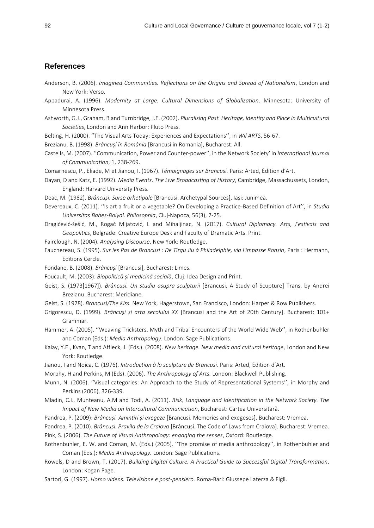## **References**

- Anderson, B. (2006). *Imagined Communities. Reflections on the Origins and Spread of Nationalism*, London and New York: Verso.
- Appadurai, A. (1996). *Modernity at Large. Cultural Dimensions of Globalization*. Minnesota: University of Minnesota Press.
- Ashworth, G.J., Graham, B and Turnbridge, J.E. (2002). *Pluralising Past. Heritage, Identity and Place in Multicultural Societies*, London and Ann Harbor: Pluto Press.
- Belting, H. (2000). ''The Visual Arts Today: Experiences and Expectations'', in *Wil ARTS*, 56-67.
- Brezianu, B. (1998). *Brâncuși în România* [Brancusi in Romania], Bucharest: All.
- Castells, M. (2007). ''Communication, Power and Counter-power'', in the Network Society' in *International Journal of Communication*, 1, 238-269.
- Comarnescu, P., Eliade, M et Jianou, I. (1967). *Témoignages sur Brancusi.* Paris: Arted, Ėdition d'Art.
- Dayan, D and Katz, E. (1992). *Media Events. The Live Broadcasting of History*, Cambridge, Massachussets, London, England: Harvard University Press.
- Deac, M. (1982). *Brâncuși. Surse arhetipale* [Brancusi. Archetypal Sources], Iași: Junimea.
- Devereaux, C. (2011). ''Is art a fruit or a vegetable? On Developing a Practice-Based Definition of Art'', in *Studia Universitas Babeș-Bolyai. Philosophia*, Cluj-Napoca, 56(3), 7-25.
- Dragićević-šešić, M., Rogač Mijatović, L and Mihaljinac, N. (2017). *Cultural Diplomacy. Arts, Festivals and Geopolitics*, Belgrade: Creative Europe Desk and Faculty of Dramatic Arts. Print.
- Fairclough, N. (2004). *Analysing Discourse*, New York: Routledge.
- Fauchereau, S. (1995). *Sur les Pas de Brancusi : De Tîrgu Jiu à Philadelphie, via l'impasse Ronsin*, Paris : Hermann, Editions Cercle.
- Fondane, B. (2008). *Brâncuși* [Brancusi], Bucharest: Limes.
- Foucault, M. (2003): *Biopolitică și medicină socială*, Cluj: Idea Design and Print.
- Geist, S. (1973[1967]). *Brâncuși. Un studiu asupra sculpturii* [Brancusi. A Study of Scupture] Trans. by Andrei Brezianu. Bucharest: Meridiane.
- Geist, S. (1978). *Brancusi/The Kiss.* New York, Hagerstown, San Francisco, London: Harper & Row Publishers.
- Grigorescu, D. (1999). *Brâncuși și arta secolului XX* [Brancusi and the Art of 20th Century]. Bucharest: 101+ Grammar.
- Hammer, A. (2005). ''Weaving Tricksters. Myth and Tribal Encounters of the World Wide Web'', in Rothenbuhler and Coman (Eds.): *Media Anthropology.* London: Sage Publications.
- Kalay, Y.E., Kvan, T and Affleck, J. (Eds.). (2008). *New heritage. New media and cultural heritage*, London and New York: Routledge.
- Jianou, I and Noica, C. (1976). *Introduction à la sculpture de Brancusi.* Paris: Arted, Ėdition d'Art.
- Morphy, H and Perkins, M (Eds). (2006). *The Anthropology of Arts.* London: Blackwell Publishing.
- Munn, N. (2006). ''Visual categories: An Approach to the Study of Representational Systems'', in Morphy and Perkins (2006), 326-339.
- Mladin, C.I., Munteanu, A.M and Todi, A. (2011). *Risk, Language and Identification in the Network Society. The Impact of New Media on Intercultural Communication*, Bucharest: Cartea Universitară.
- Pandrea, P. (2009): *Brâncuși. Amintiri și exegeze* [Brancusi. Memories and exegeses]. Bucharest: Vremea.
- Pandrea, P. (2010). *Brâncuși. Pravila de la Craiova* [Brâncuși. The Code of Laws from Craiova]. Bucharest: Vremea. Pink, S. (2006). *The Future of Visual Anthropology: engaging the senses*, Oxford: Routledge.
- Rothenbuhler, E. W. and Coman, M. (Eds.) (2005). ''The promise of media anthropology'', in Rothenbuhler and Coman (Eds.): *Media Anthropology.* London: Sage Publications.
- Rowels, D and Brown, T. (2017). *Building Digital Culture. A Practical Guide to Successful Digital Transformation*, London: Kogan Page.
- Sartori, G. (1997). *Homo videns. Televisione e post-pensiero.* Roma-Bari: Giussepe Laterza & Figli.